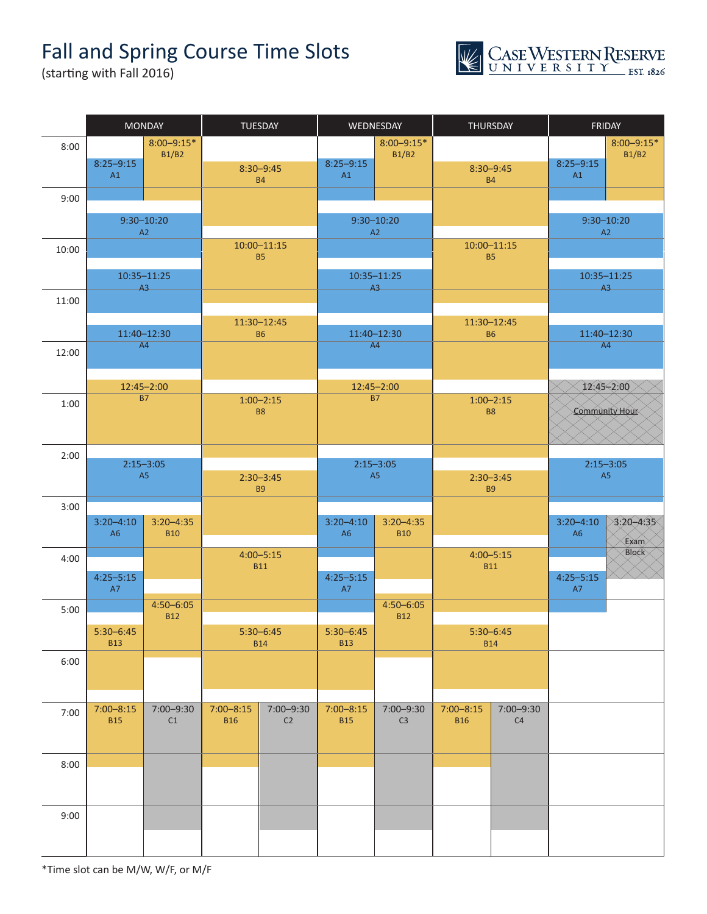## Fall and Spring Course Time Slots





|       | <b>MONDAY</b>   |                                  |               | TUESDAY                    | WEDNESDAY      |                             |                            | THURSDAY                 | FRIDAY         |                |
|-------|-----------------|----------------------------------|---------------|----------------------------|----------------|-----------------------------|----------------------------|--------------------------|----------------|----------------|
| 8:00  |                 | $8:00 - 9:15*$                   |               |                            | $8:00 - 9:15*$ |                             |                            |                          |                | $8:00 - 9:15*$ |
|       | $8:25 - 9:15$   | <b>B1/B2</b>                     |               | $8:30 - 9:45$              | $8:25 - 9:15$  | <b>B1/B2</b>                |                            | $8:30 - 9:45$            | $8:25 - 9:15$  | <b>B1/B2</b>   |
|       | A1              |                                  |               | <b>B4</b>                  | A1             |                             |                            | <b>B4</b>                | A1             |                |
| 9:00  |                 |                                  |               |                            |                |                             |                            |                          |                |                |
|       |                 | $9:30 - 10:20$                   |               |                            | $9:30 - 10:20$ |                             |                            |                          | $9:30 - 10:20$ |                |
|       |                 | A2                               |               |                            | A2             |                             | $10:00 - 11:15$            |                          | A2             |                |
| 10:00 |                 | $10:00 - 11:15$<br><b>B5</b>     |               |                            |                |                             | <b>B5</b>                  |                          |                |                |
|       | $10:35 - 11:25$ |                                  |               | $10:35 - 11:25$            |                |                             |                            |                          | 10:35-11:25    |                |
| 11:00 |                 | A3                               |               |                            | A3             |                             |                            |                          |                | A3             |
|       |                 |                                  |               |                            |                |                             |                            |                          |                |                |
|       |                 | 11:40-12:30                      |               | 11:30-12:45<br><b>B6</b>   | 11:40-12:30    |                             |                            | 11:30-12:45<br><b>B6</b> | 11:40-12:30    |                |
| 12:00 |                 | A4                               |               |                            | A4             |                             |                            |                          | A4             |                |
|       |                 |                                  |               |                            |                |                             |                            |                          |                |                |
|       |                 | 12:45-2:00                       |               |                            | 12:45-2:00     |                             | $12:45 - 2:00$             |                          |                |                |
| 1:00  |                 | <b>B7</b>                        |               | $1:00 - 2:15$<br><b>B8</b> | <b>B7</b>      |                             | $1:00 - 2:15$<br><b>B8</b> |                          |                | Community Hour |
|       |                 |                                  |               |                            |                |                             |                            |                          |                |                |
|       |                 |                                  |               |                            |                |                             |                            |                          |                |                |
| 2:00  | $2:15 - 3:05$   |                                  | $2:15 - 3:05$ |                            |                |                             |                            | $2:15 - 3:05$            |                |                |
|       |                 | A5<br>$2:30 - 3:45$<br><b>B9</b> |               | A <sub>5</sub>             |                | $2:30 - 3:45$<br><b>B9</b>  |                            | A <sub>5</sub>           |                |                |
| 3:00  |                 |                                  |               |                            |                |                             |                            |                          |                |                |
|       | $3:20 - 4:10$   | $3:20 - 4:35$                    |               |                            | $3:20 - 4:10$  | $3:20 - 4:35$               |                            |                          | $3:20 - 4:10$  | $3:20 - 4:35$  |
|       | A6              | <b>B10</b>                       |               |                            | A <sub>6</sub> | <b>B10</b>                  |                            |                          | A <sub>6</sub> | Exam           |
| 4:00  |                 |                                  |               | $4:00 - 5:15$              |                |                             |                            | $4:00 - 5:15$            |                | Block          |
|       | $4:25 - 5:15$   |                                  |               | <b>B11</b>                 | $4:25 - 5:15$  |                             |                            | <b>B11</b>               | $4:25 - 5:15$  |                |
|       | <b>A7</b>       |                                  |               |                            | <b>A7</b>      |                             |                            |                          | A7             |                |
| 5:00  |                 | $4:50 - 6:05$<br><b>B12</b>      |               |                            |                | $4:50 - 6:05$<br><b>B12</b> |                            |                          |                |                |
|       | $5:30 - 6:45$   |                                  |               | $5:30-6:45$                | $5:30 - 6:45$  |                             |                            | $5:30 - 6:45$            |                |                |
|       | <b>B13</b>      |                                  |               | <b>B14</b>                 | <b>B13</b>     |                             |                            | <b>B14</b>               |                |                |
| 6:00  |                 |                                  |               |                            |                |                             |                            |                          |                |                |
|       |                 |                                  |               |                            |                |                             |                            |                          |                |                |
| 7:00  | $7:00 - 8:15$   | 7:00-9:30                        | $7:00 - 8:15$ | 7:00-9:30                  | $7:00 - 8:15$  | 7:00-9:30                   | $7:00 - 8:15$              | 7:00-9:30                |                |                |
|       | <b>B15</b>      | C1                               | <b>B16</b>    | C2                         | <b>B15</b>     | C <sub>3</sub>              | <b>B16</b>                 | C4                       |                |                |
|       |                 |                                  |               |                            |                |                             |                            |                          |                |                |
| 8:00  |                 |                                  |               |                            |                |                             |                            |                          |                |                |
|       |                 |                                  |               |                            |                |                             |                            |                          |                |                |
|       |                 |                                  |               |                            |                |                             |                            |                          |                |                |
| 9:00  |                 |                                  |               |                            |                |                             |                            |                          |                |                |
|       |                 |                                  |               |                            |                |                             |                            |                          |                |                |
|       |                 |                                  |               |                            |                |                             |                            |                          |                |                |

\*Time slot can be M/W, W/F, or M/F